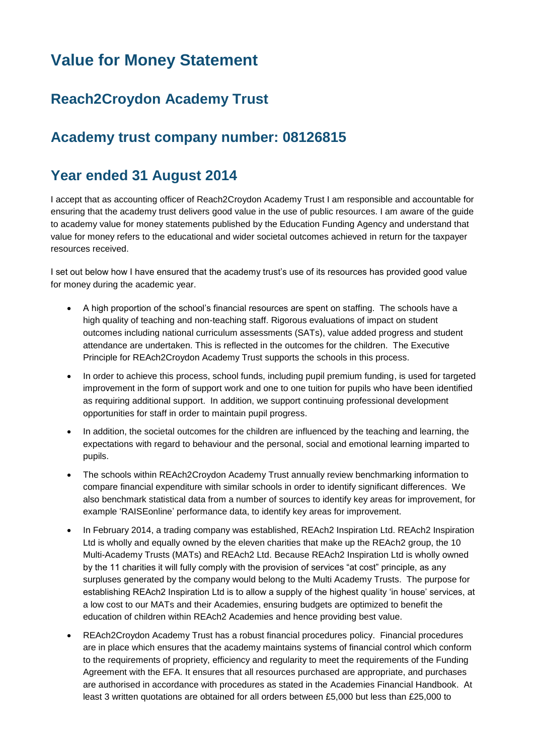# **Value for Money Statement**

## **Reach2Croydon Academy Trust**

### **Academy trust company number: 08126815**

#### **Year ended 31 August 2014**

I accept that as accounting officer of Reach2Croydon Academy Trust I am responsible and accountable for ensuring that the academy trust delivers good value in the use of public resources. I am aware of the guide to academy value for money statements published by the Education Funding Agency and understand that value for money refers to the educational and wider societal outcomes achieved in return for the taxpayer resources received.

I set out below how I have ensured that the academy trust's use of its resources has provided good value for money during the academic year.

- A high proportion of the school's financial resources are spent on staffing. The schools have a high quality of teaching and non-teaching staff. Rigorous evaluations of impact on student outcomes including national curriculum assessments (SATs), value added progress and student attendance are undertaken. This is reflected in the outcomes for the children. The Executive Principle for REAch2Croydon Academy Trust supports the schools in this process.
- In order to achieve this process, school funds, including pupil premium funding, is used for targeted improvement in the form of support work and one to one tuition for pupils who have been identified as requiring additional support. In addition, we support continuing professional development opportunities for staff in order to maintain pupil progress.
- In addition, the societal outcomes for the children are influenced by the teaching and learning, the expectations with regard to behaviour and the personal, social and emotional learning imparted to pupils.
- The schools within REAch2Croydon Academy Trust annually review benchmarking information to compare financial expenditure with similar schools in order to identify significant differences. We also benchmark statistical data from a number of sources to identify key areas for improvement, for example 'RAISEonline' performance data, to identify key areas for improvement.
- In February 2014, a trading company was established, REAch2 Inspiration Ltd. REAch2 Inspiration Ltd is wholly and equally owned by the eleven charities that make up the REAch2 group, the 10 Multi-Academy Trusts (MATs) and REAch2 Ltd. Because REAch2 Inspiration Ltd is wholly owned by the 11 charities it will fully comply with the provision of services "at cost" principle, as any surpluses generated by the company would belong to the Multi Academy Trusts. The purpose for establishing REAch2 Inspiration Ltd is to allow a supply of the highest quality 'in house' services, at a low cost to our MATs and their Academies, ensuring budgets are optimized to benefit the education of children within REAch2 Academies and hence providing best value.
- REAch2Croydon Academy Trust has a robust financial procedures policy. Financial procedures are in place which ensures that the academy maintains systems of financial control which conform to the requirements of propriety, efficiency and regularity to meet the requirements of the Funding Agreement with the EFA. It ensures that all resources purchased are appropriate, and purchases are authorised in accordance with procedures as stated in the Academies Financial Handbook. At least 3 written quotations are obtained for all orders between £5,000 but less than £25,000 to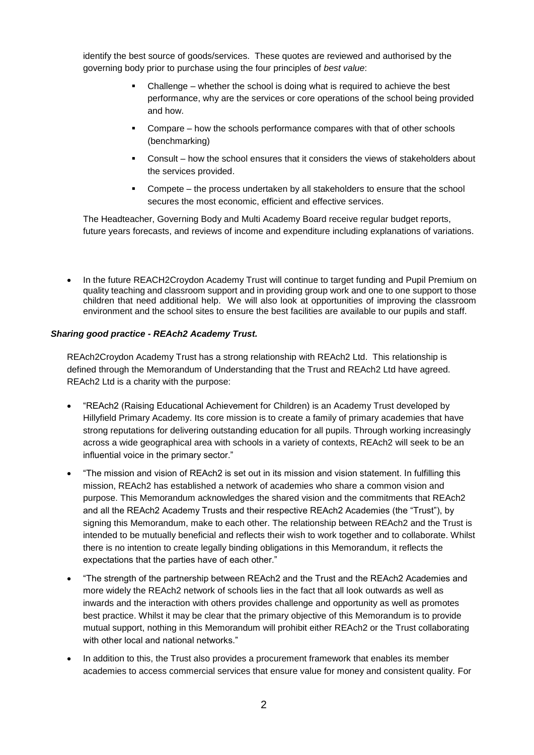identify the best source of goods/services. These quotes are reviewed and authorised by the governing body prior to purchase using the four principles of *best value*:

- Challenge whether the school is doing what is required to achieve the best performance, why are the services or core operations of the school being provided and how.
- Compare how the schools performance compares with that of other schools (benchmarking)
- Consult how the school ensures that it considers the views of stakeholders about the services provided.
- Compete the process undertaken by all stakeholders to ensure that the school secures the most economic, efficient and effective services.

The Headteacher, Governing Body and Multi Academy Board receive regular budget reports, future years forecasts, and reviews of income and expenditure including explanations of variations.

 In the future REACH2Croydon Academy Trust will continue to target funding and Pupil Premium on quality teaching and classroom support and in providing group work and one to one support to those children that need additional help. We will also look at opportunities of improving the classroom environment and the school sites to ensure the best facilities are available to our pupils and staff.

#### *Sharing good practice - REAch2 Academy Trust.*

REAch2Croydon Academy Trust has a strong relationship with REAch2 Ltd. This relationship is defined through the Memorandum of Understanding that the Trust and REAch2 Ltd have agreed. REAch2 Ltd is a charity with the purpose:

- "REAch2 (Raising Educational Achievement for Children) is an Academy Trust developed by Hillyfield Primary Academy. Its core mission is to create a family of primary academies that have strong reputations for delivering outstanding education for all pupils. Through working increasingly across a wide geographical area with schools in a variety of contexts, REAch2 will seek to be an influential voice in the primary sector."
- "The mission and vision of REAch2 is set out in its mission and vision statement. In fulfilling this mission, REAch2 has established a network of academies who share a common vision and purpose. This Memorandum acknowledges the shared vision and the commitments that REAch2 and all the REAch2 Academy Trusts and their respective REAch2 Academies (the "Trust"), by signing this Memorandum, make to each other. The relationship between REAch2 and the Trust is intended to be mutually beneficial and reflects their wish to work together and to collaborate. Whilst there is no intention to create legally binding obligations in this Memorandum, it reflects the expectations that the parties have of each other."
- "The strength of the partnership between REAch2 and the Trust and the REAch2 Academies and more widely the REAch2 network of schools lies in the fact that all look outwards as well as inwards and the interaction with others provides challenge and opportunity as well as promotes best practice. Whilst it may be clear that the primary objective of this Memorandum is to provide mutual support, nothing in this Memorandum will prohibit either REAch2 or the Trust collaborating with other local and national networks."
- In addition to this, the Trust also provides a procurement framework that enables its member academies to access commercial services that ensure value for money and consistent quality. For